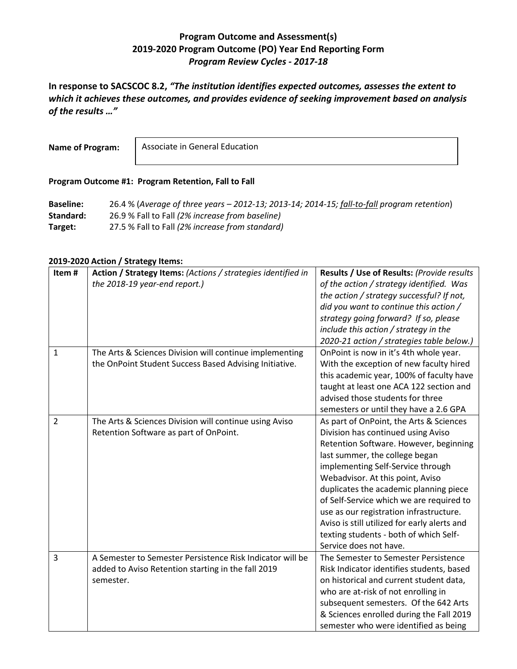## **Program Outcome and Assessment(s) 2019-2020 Program Outcome (PO) Year End Reporting Form** *Program Review Cycles - 2017-18*

**In response to SACSCOC 8.2,** *"The institution identifies expected outcomes, assesses the extent to which it achieves these outcomes, and provides evidence of seeking improvement based on analysis of the results …"*

**Name of Program:**

Associate in General Education

## **Program Outcome #1: Program Retention, Fall to Fall**

**Baseline:** 26.4 % (*Average of three years – 2012-13; 2013-14; 2014-15; fall-to-fall program retention*) **Standard:** 26.9 % Fall to Fall *(2% increase from baseline)* **Target:** 27.5 % Fall to Fall *(2% increase from standard)*

## **2019-2020 Action / Strategy Items:**

| Item#          | Action / Strategy Items: (Actions / strategies identified in | Results / Use of Results: (Provide results   |
|----------------|--------------------------------------------------------------|----------------------------------------------|
|                | the 2018-19 year-end report.)                                | of the action / strategy identified. Was     |
|                |                                                              | the action / strategy successful? If not,    |
|                |                                                              | did you want to continue this action /       |
|                |                                                              | strategy going forward? If so, please        |
|                |                                                              | include this action / strategy in the        |
|                |                                                              | 2020-21 action / strategies table below.)    |
| $\mathbf{1}$   | The Arts & Sciences Division will continue implementing      | OnPoint is now in it's 4th whole year.       |
|                | the OnPoint Student Success Based Advising Initiative.       | With the exception of new faculty hired      |
|                |                                                              | this academic year, 100% of faculty have     |
|                |                                                              |                                              |
|                |                                                              | taught at least one ACA 122 section and      |
|                |                                                              | advised those students for three             |
|                |                                                              | semesters or until they have a 2.6 GPA       |
| $\overline{2}$ | The Arts & Sciences Division will continue using Aviso       | As part of OnPoint, the Arts & Sciences      |
|                | Retention Software as part of OnPoint.                       | Division has continued using Aviso           |
|                |                                                              | Retention Software. However, beginning       |
|                |                                                              | last summer, the college began               |
|                |                                                              | implementing Self-Service through            |
|                |                                                              | Webadvisor. At this point, Aviso             |
|                |                                                              | duplicates the academic planning piece       |
|                |                                                              | of Self-Service which we are required to     |
|                |                                                              | use as our registration infrastructure.      |
|                |                                                              | Aviso is still utilized for early alerts and |
|                |                                                              | texting students - both of which Self-       |
|                |                                                              | Service does not have.                       |
| 3              | A Semester to Semester Persistence Risk Indicator will be    | The Semester to Semester Persistence         |
|                | added to Aviso Retention starting in the fall 2019           | Risk Indicator identifies students, based    |
|                | semester.                                                    | on historical and current student data,      |
|                |                                                              | who are at-risk of not enrolling in          |
|                |                                                              | subsequent semesters. Of the 642 Arts        |
|                |                                                              | & Sciences enrolled during the Fall 2019     |
|                |                                                              | semester who were identified as being        |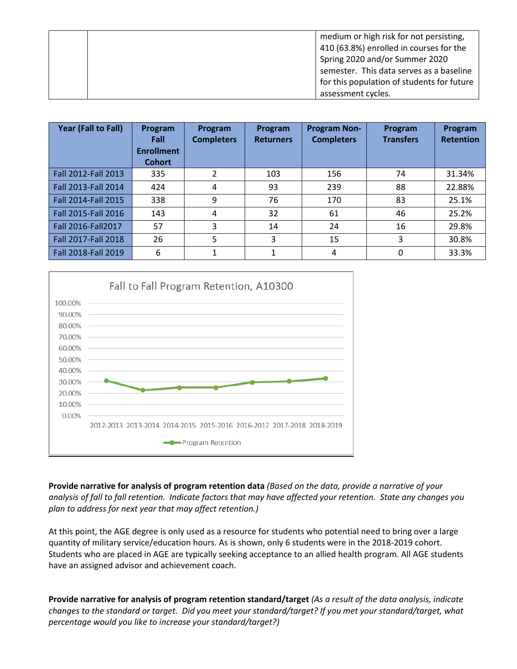|  | medium or high risk for not persisting,    |
|--|--------------------------------------------|
|  | 410 (63.8%) enrolled in courses for the    |
|  | Spring 2020 and/or Summer 2020             |
|  | semester. This data serves as a baseline   |
|  | for this population of students for future |
|  | assessment cycles.                         |

| Year (Fall to Fall)        | Program<br>Fall<br><b>Enrollment</b><br><b>Cohort</b> | Program<br><b>Completers</b> | Program<br><b>Returners</b> | <b>Program Non-</b><br><b>Completers</b> | Program<br><b>Transfers</b> | Program<br><b>Retention</b> |
|----------------------------|-------------------------------------------------------|------------------------------|-----------------------------|------------------------------------------|-----------------------------|-----------------------------|
| <b>Fall 2012-Fall 2013</b> | 335                                                   | 2                            | 103                         | 156                                      | 74                          | 31.34%                      |
| Fall 2013-Fall 2014        | 424                                                   | 4                            | 93                          | 239                                      | 88                          | 22.88%                      |
| Fall 2014-Fall 2015        | 338                                                   | 9                            | 76                          | 170                                      | 83                          | 25.1%                       |
| Fall 2015-Fall 2016        | 143                                                   | 4                            | 32                          | 61                                       | 46                          | 25.2%                       |
| Fall 2016-Fall2017         | 57                                                    | 3                            | 14                          | 24                                       | 16                          | 29.8%                       |
| Fall 2017-Fall 2018        | 26                                                    | 5                            | 3                           | 15                                       | 3                           | 30.8%                       |
| Fall 2018-Fall 2019        | 6                                                     | 1                            | 1                           | 4                                        | 0                           | 33.3%                       |



**Provide narrative for analysis of program retention data** *(Based on the data, provide a narrative of your analysis of fall to fall retention. Indicate factors that may have affected your retention. State any changes you plan to address for next year that may affect retention.)*

At this point, the AGE degree is only used as a resource for students who potential need to bring over a large quantity of military service/education hours. As is shown, only 6 students were in the 2018-2019 cohort. Students who are placed in AGE are typically seeking acceptance to an allied health program. All AGE students have an assigned advisor and achievement coach.

**Provide narrative for analysis of program retention standard/target** *(As a result of the data analysis, indicate changes to the standard or target. Did you meet your standard/target? If you met your standard/target, what percentage would you like to increase your standard/target?)*